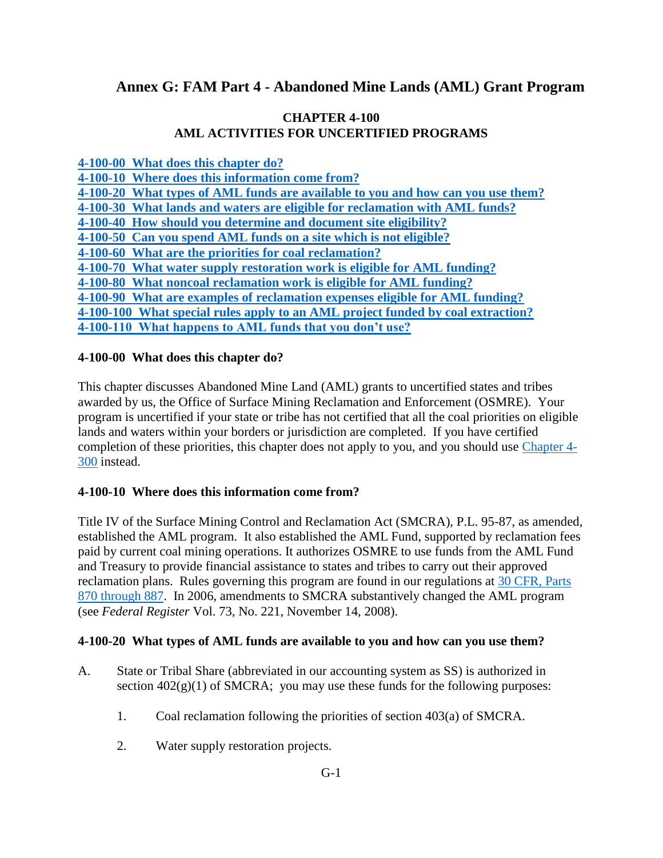# **Annex G: FAM Part 4 - Abandoned Mine Lands (AML) Grant Program**

### **CHAPTER 4-100 AML ACTIVITIES FOR UNCERTIFIED PROGRAMS**

**4-100-00 What [does this chapter do?](#page-0-0)**

**[4-100-10 Where does this information come from?](#page-0-1) [4-100-20 What types of AML funds are available to you and how can you use them?](#page-0-2)  [4-100-30 What lands and waters are eligible for reclamation with AML funds?](#page-1-0)  [4-100-40 How should you determine and document site eligibility?](#page-3-0) [4-100-50 Can you spend AML funds on a site which is not eligible?](#page-3-1) [4-100-60 What are the priorities for coal reclamation?](#page-3-2) [4-100-70 What water supply restoration work is eligible for AML funding?](#page-4-0) [4-100-80 What noncoal reclamation work is eligible for AML funding?](#page-5-0) [4-100-90 What are examples of reclamation expenses eligible for AML funding?](#page-5-1)  [4-100-100 What special rules apply to an AML project funded by coal extraction?](#page-7-0) [4-100-110 What happens to AML funds that you don't use?](#page-8-0)**

### <span id="page-0-0"></span>**4-100-00 What does this chapter do?**

This chapter discusses Abandoned Mine Land (AML) grants to uncertified states and tribes awarded by us, the Office of Surface Mining Reclamation and Enforcement (OSMRE). Your program is uncertified if your state or tribe has not certified that all the coal priorities on eligible lands and waters within your borders or jurisdiction are completed. If you have certified completion of these priorities, this chapter does not apply to you, and you should use [Chapter 4-](https://www.osmre.gov/lrg/fam/4-300.pdf) [300](https://www.osmre.gov/lrg/fam/4-300.pdf) instead.

#### <span id="page-0-1"></span>**4-100-10 Where does this information come from?**

Title IV of the Surface Mining Control and Reclamation Act (SMCRA), P.L. 95-87, as amended, established the AML program. It also established the AML Fund, supported by reclamation fees paid by current coal mining operations. It authorizes OSMRE to use funds from the AML Fund and Treasury to provide financial assistance to states and tribes to carry out their approved reclamation plans. Rules governing this program are found in our regulations at [30 CFR, Parts](http://www.ecfr.gov/cgi-bin/text-idx?SID=5cdb64f9c9637b7beffcfd737cae593c&tpl=/ecfrbrowse/Title30/30CVIIsubchapR.tpl)  [870 through 887.](http://www.ecfr.gov/cgi-bin/text-idx?SID=5cdb64f9c9637b7beffcfd737cae593c&tpl=/ecfrbrowse/Title30/30CVIIsubchapR.tpl) In 2006, amendments to SMCRA substantively changed the AML program (see *Federal Register* Vol. 73, No. 221, November 14, 2008).

#### <span id="page-0-2"></span>**4-100-20 What types of AML funds are available to you and how can you use them?**

- A. State or Tribal Share (abbreviated in our accounting system as SS) is authorized in section  $402(g)(1)$  of SMCRA; you may use these funds for the following purposes:
	- 1. Coal reclamation following the priorities of section 403(a) of SMCRA.
	- 2. Water supply restoration projects.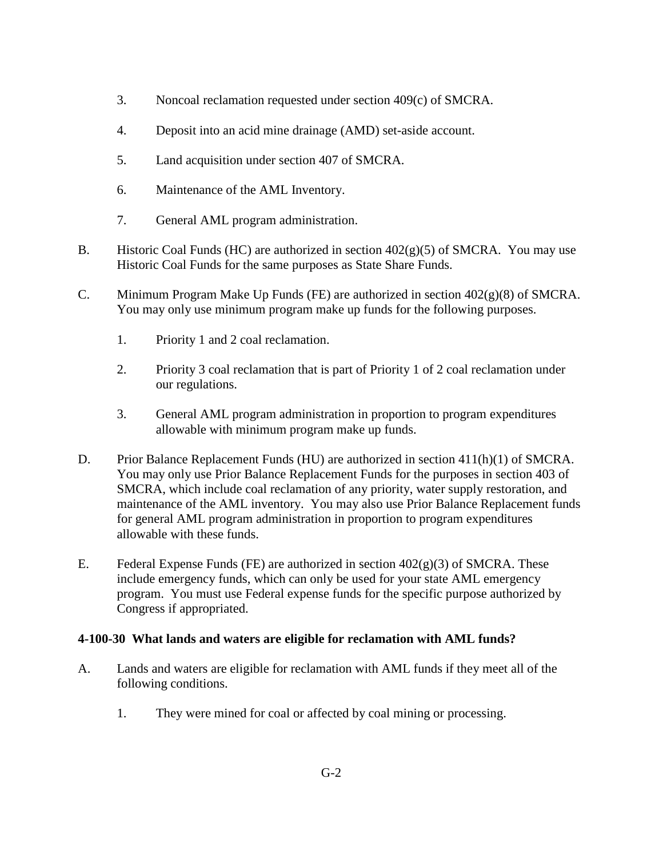- 3. Noncoal reclamation requested under section 409(c) of SMCRA.
- 4. Deposit into an acid mine drainage (AMD) set-aside account.
- 5. Land acquisition under section 407 of SMCRA.
- 6. Maintenance of the AML Inventory.
- 7. General AML program administration.
- B. Historic Coal Funds (HC) are authorized in section  $402(g)(5)$  of SMCRA. You may use Historic Coal Funds for the same purposes as State Share Funds.
- C. Minimum Program Make Up Funds (FE) are authorized in section  $402(g)(8)$  of SMCRA. You may only use minimum program make up funds for the following purposes.
	- 1. Priority 1 and 2 coal reclamation.
	- 2. Priority 3 coal reclamation that is part of Priority 1 of 2 coal reclamation under our regulations.
	- 3. General AML program administration in proportion to program expenditures allowable with minimum program make up funds.
- D. Prior Balance Replacement Funds (HU) are authorized in section 411(h)(1) of SMCRA. You may only use Prior Balance Replacement Funds for the purposes in section 403 of SMCRA, which include coal reclamation of any priority, water supply restoration, and maintenance of the AML inventory. You may also use Prior Balance Replacement funds for general AML program administration in proportion to program expenditures allowable with these funds.
- E. Federal Expense Funds (FE) are authorized in section  $402(g)(3)$  of SMCRA. These include emergency funds, which can only be used for your state AML emergency program. You must use Federal expense funds for the specific purpose authorized by Congress if appropriated.

# <span id="page-1-0"></span>**4-100-30 What lands and waters are eligible for reclamation with AML funds?**

- A. Lands and waters are eligible for reclamation with AML funds if they meet all of the following conditions.
	- 1. They were mined for coal or affected by coal mining or processing.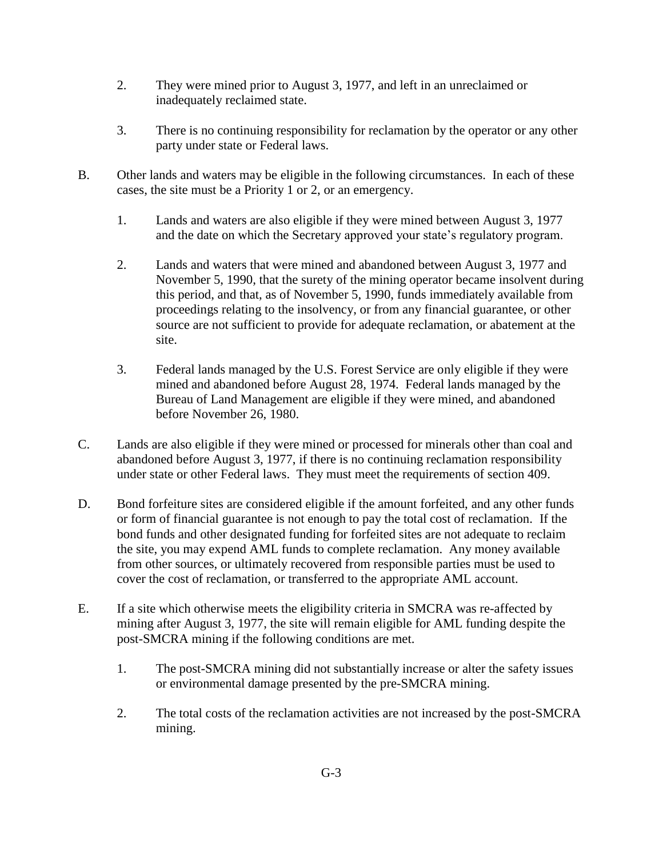- 2. They were mined prior to August 3, 1977, and left in an unreclaimed or inadequately reclaimed state.
- 3. There is no continuing responsibility for reclamation by the operator or any other party under state or Federal laws.
- B. Other lands and waters may be eligible in the following circumstances. In each of these cases, the site must be a Priority 1 or 2, or an emergency.
	- 1. Lands and waters are also eligible if they were mined between August 3, 1977 and the date on which the Secretary approved your state's regulatory program.
	- 2. Lands and waters that were mined and abandoned between August 3, 1977 and November 5, 1990, that the surety of the mining operator became insolvent during this period, and that, as of November 5, 1990, funds immediately available from proceedings relating to the insolvency, or from any financial guarantee, or other source are not sufficient to provide for adequate reclamation, or abatement at the site.
	- 3. Federal lands managed by the U.S. Forest Service are only eligible if they were mined and abandoned before August 28, 1974. Federal lands managed by the Bureau of Land Management are eligible if they were mined, and abandoned before November 26, 1980.
- C. Lands are also eligible if they were mined or processed for minerals other than coal and abandoned before August 3, 1977, if there is no continuing reclamation responsibility under state or other Federal laws. They must meet the requirements of section 409.
- D. Bond forfeiture sites are considered eligible if the amount forfeited, and any other funds or form of financial guarantee is not enough to pay the total cost of reclamation. If the bond funds and other designated funding for forfeited sites are not adequate to reclaim the site, you may expend AML funds to complete reclamation. Any money available from other sources, or ultimately recovered from responsible parties must be used to cover the cost of reclamation, or transferred to the appropriate AML account.
- E. If a site which otherwise meets the eligibility criteria in SMCRA was re-affected by mining after August 3, 1977, the site will remain eligible for AML funding despite the post-SMCRA mining if the following conditions are met.
	- 1. The post-SMCRA mining did not substantially increase or alter the safety issues or environmental damage presented by the pre-SMCRA mining.
	- 2. The total costs of the reclamation activities are not increased by the post-SMCRA mining.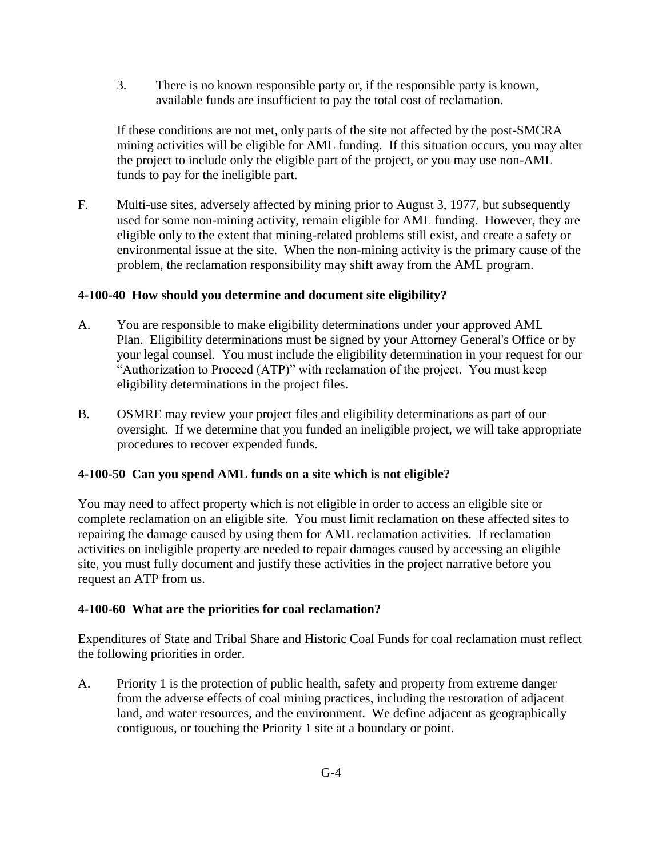3. There is no known responsible party or, if the responsible party is known, available funds are insufficient to pay the total cost of reclamation.

If these conditions are not met, only parts of the site not affected by the post-SMCRA mining activities will be eligible for AML funding. If this situation occurs, you may alter the project to include only the eligible part of the project, or you may use non-AML funds to pay for the ineligible part.

F. Multi-use sites, adversely affected by mining prior to August 3, 1977, but subsequently used for some non-mining activity, remain eligible for AML funding. However, they are eligible only to the extent that mining-related problems still exist, and create a safety or environmental issue at the site. When the non-mining activity is the primary cause of the problem, the reclamation responsibility may shift away from the AML program.

### <span id="page-3-0"></span>**4-100-40 How should you determine and document site eligibility?**

- A. You are responsible to make eligibility determinations under your approved AML Plan. Eligibility determinations must be signed by your Attorney General's Office or by your legal counsel. You must include the eligibility determination in your request for our "Authorization to Proceed (ATP)" with reclamation of the project. You must keep eligibility determinations in the project files.
- B. OSMRE may review your project files and eligibility determinations as part of our oversight. If we determine that you funded an ineligible project, we will take appropriate procedures to recover expended funds.

# <span id="page-3-1"></span>**4-100-50 Can you spend AML funds on a site which is not eligible?**

You may need to affect property which is not eligible in order to access an eligible site or complete reclamation on an eligible site. You must limit reclamation on these affected sites to repairing the damage caused by using them for AML reclamation activities. If reclamation activities on ineligible property are needed to repair damages caused by accessing an eligible site, you must fully document and justify these activities in the project narrative before you request an ATP from us.

#### <span id="page-3-2"></span>**4-100-60 What are the priorities for coal reclamation?**

Expenditures of State and Tribal Share and Historic Coal Funds for coal reclamation must reflect the following priorities in order.

A. Priority 1 is the protection of public health, safety and property from extreme danger from the adverse effects of coal mining practices, including the restoration of adjacent land, and water resources, and the environment. We define adjacent as geographically contiguous, or touching the Priority 1 site at a boundary or point.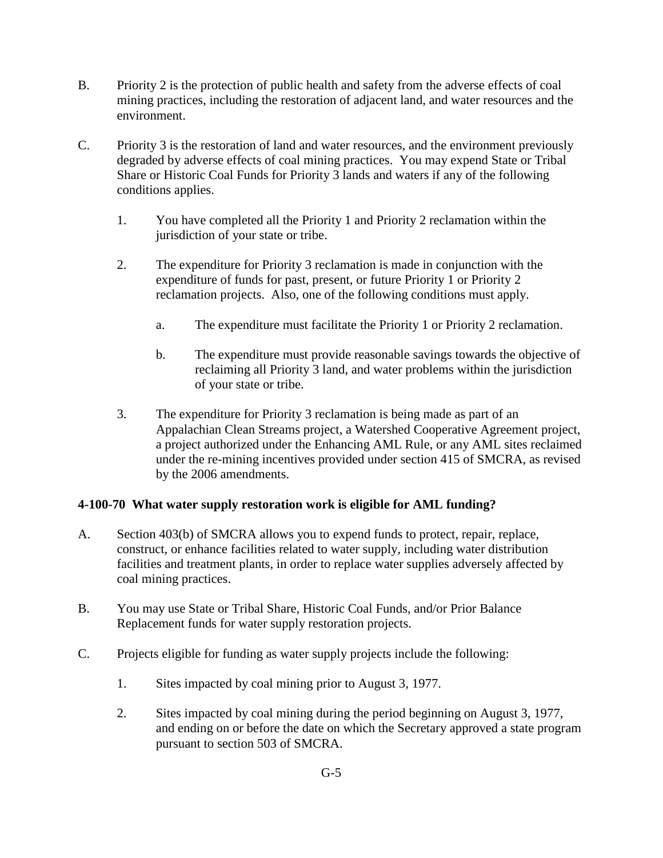- B. Priority 2 is the protection of public health and safety from the adverse effects of coal mining practices, including the restoration of adjacent land, and water resources and the environment.
- C. Priority 3 is the restoration of land and water resources, and the environment previously degraded by adverse effects of coal mining practices. You may expend State or Tribal Share or Historic Coal Funds for Priority 3 lands and waters if any of the following conditions applies.
	- 1. You have completed all the Priority 1 and Priority 2 reclamation within the jurisdiction of your state or tribe.
	- 2. The expenditure for Priority 3 reclamation is made in conjunction with the expenditure of funds for past, present, or future Priority 1 or Priority 2 reclamation projects. Also, one of the following conditions must apply.
		- a. The expenditure must facilitate the Priority 1 or Priority 2 reclamation.
		- b. The expenditure must provide reasonable savings towards the objective of reclaiming all Priority 3 land, and water problems within the jurisdiction of your state or tribe.
	- 3. The expenditure for Priority 3 reclamation is being made as part of an Appalachian Clean Streams project, a Watershed Cooperative Agreement project, a project authorized under the Enhancing AML Rule, or any AML sites reclaimed under the re-mining incentives provided under section 415 of SMCRA, as revised by the 2006 amendments.

# <span id="page-4-0"></span>**4-100-70 What water supply restoration work is eligible for AML funding?**

- A. Section 403(b) of SMCRA allows you to expend funds to protect, repair, replace, construct, or enhance facilities related to water supply, including water distribution facilities and treatment plants, in order to replace water supplies adversely affected by coal mining practices.
- B. You may use State or Tribal Share, Historic Coal Funds, and/or Prior Balance Replacement funds for water supply restoration projects.
- C. Projects eligible for funding as water supply projects include the following:
	- 1. Sites impacted by coal mining prior to August 3, 1977.
	- 2. Sites impacted by coal mining during the period beginning on August 3, 1977, and ending on or before the date on which the Secretary approved a state program pursuant to section 503 of SMCRA.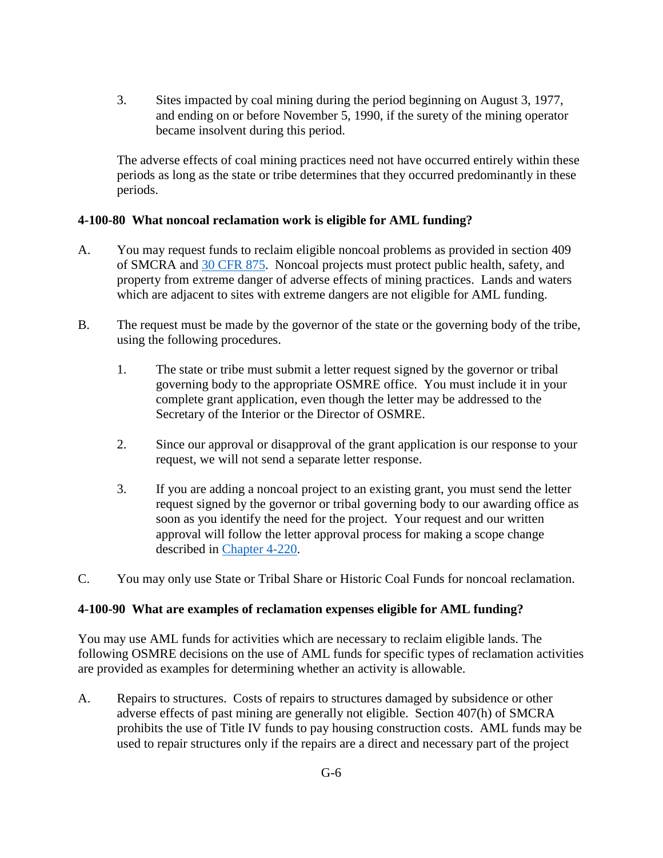3. Sites impacted by coal mining during the period beginning on August 3, 1977, and ending on or before November 5, 1990, if the surety of the mining operator became insolvent during this period.

The adverse effects of coal mining practices need not have occurred entirely within these periods as long as the state or tribe determines that they occurred predominantly in these periods.

#### <span id="page-5-0"></span>**4-100-80 What noncoal reclamation work is eligible for AML funding?**

- A. You may request funds to reclaim eligible noncoal problems as provided in section 409 of SMCRA and [30 CFR 875.](http://www.ecfr.gov/cgi-bin/text-idx?SID=5cdb64f9c9637b7beffcfd737cae593c&node=pt30.3.875&rgn=div5) Noncoal projects must protect public health, safety, and property from extreme danger of adverse effects of mining practices. Lands and waters which are adjacent to sites with extreme dangers are not eligible for AML funding.
- B. The request must be made by the governor of the state or the governing body of the tribe, using the following procedures.
	- 1. The state or tribe must submit a letter request signed by the governor or tribal governing body to the appropriate OSMRE office. You must include it in your complete grant application, even though the letter may be addressed to the Secretary of the Interior or the Director of OSMRE.
	- 2. Since our approval or disapproval of the grant application is our response to your request, we will not send a separate letter response.
	- 3. If you are adding a noncoal project to an existing grant, you must send the letter request signed by the governor or tribal governing body to our awarding office as soon as you identify the need for the project. Your request and our written approval will follow the letter approval process for making a scope change described in [Chapter 4-220.](https://www.osmre.gov/lrg/fam/4-220.pdf)
- C. You may only use State or Tribal Share or Historic Coal Funds for noncoal reclamation.

#### <span id="page-5-1"></span>**4-100-90 What are examples of reclamation expenses eligible for AML funding?**

You may use AML funds for activities which are necessary to reclaim eligible lands. The following OSMRE decisions on the use of AML funds for specific types of reclamation activities are provided as examples for determining whether an activity is allowable.

A. Repairs to structures. Costs of repairs to structures damaged by subsidence or other adverse effects of past mining are generally not eligible. Section 407(h) of SMCRA prohibits the use of Title IV funds to pay housing construction costs. AML funds may be used to repair structures only if the repairs are a direct and necessary part of the project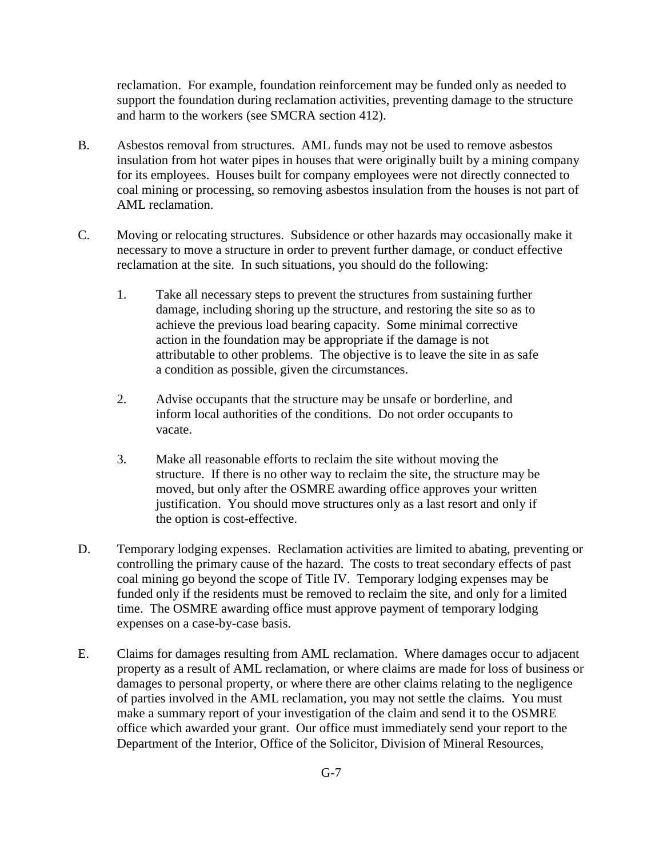reclamation. For example, foundation reinforcement may be funded only as needed to support the foundation during reclamation activities, preventing damage to the structure and harm to the workers (see SMCRA section 412).

- B. Asbestos removal from structures. AML funds may not be used to remove asbestos insulation from hot water pipes in houses that were originally built by a mining company for its employees. Houses built for company employees were not directly connected to coal mining or processing, so removing asbestos insulation from the houses is not part of AML reclamation.
- C. Moving or relocating structures. Subsidence or other hazards may occasionally make it necessary to move a structure in order to prevent further damage, or conduct effective reclamation at the site. In such situations, you should do the following:
	- 1. Take all necessary steps to prevent the structures from sustaining further damage, including shoring up the structure, and restoring the site so as to achieve the previous load bearing capacity. Some minimal corrective action in the foundation may be appropriate if the damage is not attributable to other problems. The objective is to leave the site in as safe a condition as possible, given the circumstances.
	- 2. Advise occupants that the structure may be unsafe or borderline, and inform local authorities of the conditions. Do not order occupants to vacate.
	- 3. Make all reasonable efforts to reclaim the site without moving the structure. If there is no other way to reclaim the site, the structure may be moved, but only after the OSMRE awarding office approves your written justification. You should move structures only as a last resort and only if the option is cost-effective.
- D. Temporary lodging expenses. Reclamation activities are limited to abating, preventing or controlling the primary cause of the hazard. The costs to treat secondary effects of past coal mining go beyond the scope of Title IV. Temporary lodging expenses may be funded only if the residents must be removed to reclaim the site, and only for a limited time. The OSMRE awarding office must approve payment of temporary lodging expenses on a case-by-case basis.
- E. Claims for damages resulting from AML reclamation. Where damages occur to adjacent property as a result of AML reclamation, or where claims are made for loss of business or damages to personal property, or where there are other claims relating to the negligence of parties involved in the AML reclamation, you may not settle the claims. You must make a summary report of your investigation of the claim and send it to the OSMRE office which awarded your grant. Our office must immediately send your report to the Department of the Interior, Office of the Solicitor, Division of Mineral Resources,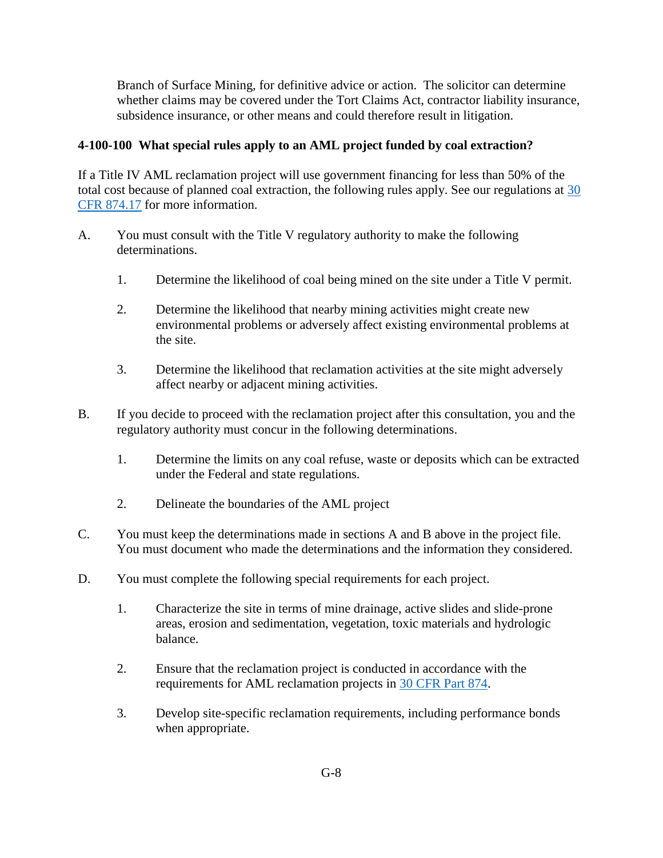Branch of Surface Mining, for definitive advice or action. The solicitor can determine whether claims may be covered under the Tort Claims Act, contractor liability insurance, subsidence insurance, or other means and could therefore result in litigation.

### <span id="page-7-0"></span>**4-100-100 What special rules apply to an AML project funded by coal extraction?**

If a Title IV AML reclamation project will use government financing for less than 50% of the total cost because of planned coal extraction, the following rules apply. See our regulations at [30](http://www.ecfr.gov/cgi-bin/text-idx?SID=5cdb64f9c9637b7beffcfd737cae593c&node=pt30.3.874&rgn=div5)  [CFR 874.17](http://www.ecfr.gov/cgi-bin/text-idx?SID=5cdb64f9c9637b7beffcfd737cae593c&node=pt30.3.874&rgn=div5) for more information.

- A. You must consult with the Title V regulatory authority to make the following determinations.
	- 1. Determine the likelihood of coal being mined on the site under a Title V permit.
	- 2. Determine the likelihood that nearby mining activities might create new environmental problems or adversely affect existing environmental problems at the site.
	- 3. Determine the likelihood that reclamation activities at the site might adversely affect nearby or adjacent mining activities.
- B. If you decide to proceed with the reclamation project after this consultation, you and the regulatory authority must concur in the following determinations.
	- 1. Determine the limits on any coal refuse, waste or deposits which can be extracted under the Federal and state regulations.
	- 2. Delineate the boundaries of the AML project
- C. You must keep the determinations made in sections A and B above in the project file. You must document who made the determinations and the information they considered.
- D. You must complete the following special requirements for each project.
	- 1. Characterize the site in terms of mine drainage, active slides and slide-prone areas, erosion and sedimentation, vegetation, toxic materials and hydrologic balance.
	- 2. Ensure that the reclamation project is conducted in accordance with the requirements for AML reclamation projects in [30 CFR Part 874.](http://www.ecfr.gov/cgi-bin/text-idx?SID=5cdb64f9c9637b7beffcfd737cae593c&node=pt30.3.874&rgn=div5)
	- 3. Develop site-specific reclamation requirements, including performance bonds when appropriate.